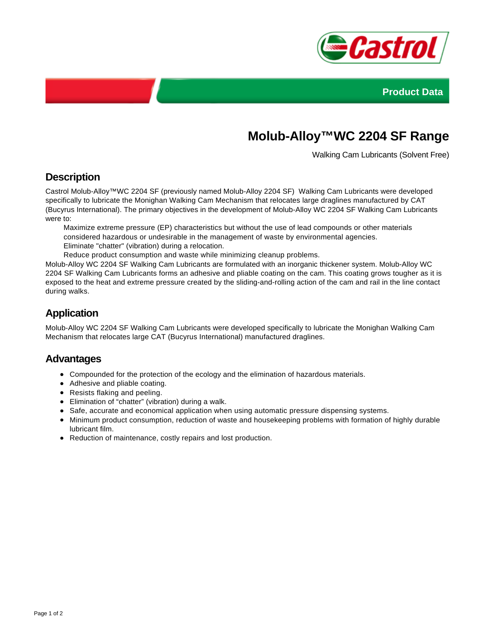



# **Molub-Alloy™WC 2204 SF Range**

Walking Cam Lubricants (Solvent Free)

### **Description**

Castrol Molub-Alloy™WC 2204 SF (previously named Molub-Alloy 2204 SF) Walking Cam Lubricants were developed specifically to lubricate the Monighan Walking Cam Mechanism that relocates large draglines manufactured by CAT (Bucyrus International). The primary objectives in the development of Molub-Alloy WC 2204 SF Walking Cam Lubricants were to:

Maximize extreme pressure (EP) characteristics but without the use of lead compounds or other materials considered hazardous or undesirable in the management of waste by environmental agencies. Eliminate "chatter" (vibration) during a relocation.

Reduce product consumption and waste while minimizing cleanup problems.

Molub-Alloy WC 2204 SF Walking Cam Lubricants are formulated with an inorganic thickener system. Molub-Alloy WC 2204 SF Walking Cam Lubricants forms an adhesive and pliable coating on the cam. This coating grows tougher as it is exposed to the heat and extreme pressure created by the sliding-and-rolling action of the cam and rail in the line contact during walks.

# **Application**

Molub-Alloy WC 2204 SF Walking Cam Lubricants were developed specifically to lubricate the Monighan Walking Cam Mechanism that relocates large CAT (Bucyrus International) manufactured draglines.

#### **Advantages**

- Compounded for the protection of the ecology and the elimination of hazardous materials.
- Adhesive and pliable coating.
- Resists flaking and peeling.
- Elimination of "chatter" (vibration) during a walk.
- Safe, accurate and economical application when using automatic pressure dispensing systems.
- Minimum product consumption, reduction of waste and housekeeping problems with formation of highly durable lubricant film.
- Reduction of maintenance, costly repairs and lost production.